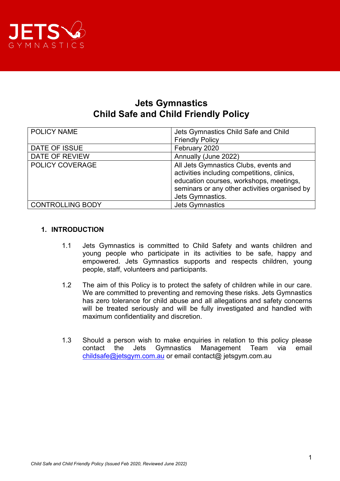

# **Jets Gymnastics Child Safe and Child Friendly Policy**

| POLICY NAME             | Jets Gymnastics Child Safe and Child<br><b>Friendly Policy</b>                                                                                                                                       |
|-------------------------|------------------------------------------------------------------------------------------------------------------------------------------------------------------------------------------------------|
| DATE OF ISSUE           | February 2020                                                                                                                                                                                        |
| DATE OF REVIEW          | Annually (June 2022)                                                                                                                                                                                 |
| POLICY COVERAGE         | All Jets Gymnastics Clubs, events and<br>activities including competitions, clinics,<br>education courses, workshops, meetings,<br>seminars or any other activities organised by<br>Jets Gymnastics. |
| <b>CONTROLLING BODY</b> | <b>Jets Gymnastics</b>                                                                                                                                                                               |

## **1. INTRODUCTION**

- 1.1 Jets Gymnastics is committed to Child Safety and wants children and young people who participate in its activities to be safe, happy and empowered. Jets Gymnastics supports and respects children, young people, staff, volunteers and participants.
- 1.2 The aim of this Policy is to protect the safety of children while in our care. We are committed to preventing and removing these risks. Jets Gymnastics has zero tolerance for child abuse and all allegations and safety concerns will be treated seriously and will be fully investigated and handled with maximum confidentiality and discretion.
- 1.3 Should a person wish to make enquiries in relation to this policy please contact the Jets Gymnastics Management Team via email [childsafe@jetsgym.com.au](mailto:childsafe@jetsgym.com.au) or email contact@ jetsgym.com.au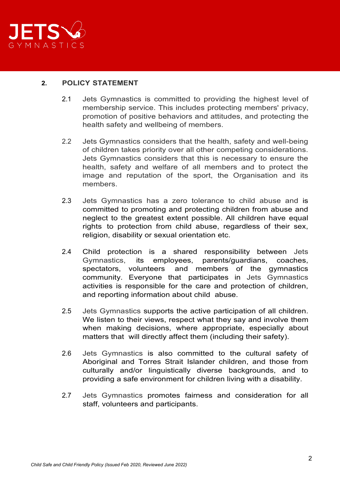

## **2. POLICY STATEMENT**

- 2.1 Jets Gymnastics is committed to providing the highest level of membership service. This includes protecting members' privacy, promotion of positive behaviors and attitudes, and protecting the health safety and wellbeing of members.
- 2.2 Jets Gymnastics considers that the health, safety and well-being of children takes priority over all other competing considerations. Jets Gymnastics considers that this is necessary to ensure the health, safety and welfare of all members and to protect the image and reputation of the sport, the Organisation and its members.
- 2.3 Jets Gymnastics has a zero tolerance to child abuse and is committed to promoting and protecting children from abuse and neglect to the greatest extent possible. All children have equal rights to protection from child abuse, regardless of their sex, religion, disability or sexual orientation etc.
- 2.4 Child protection is a shared responsibility between Jets Gymnastics, its employees, parents/guardians, coaches, and members of the gymnastics community. Everyone that participates in Jets Gymnastics activities is responsible for the care and protection of children, and reporting information about child abuse.
- 2.5 Jets Gymnastics supports the active participation of all children. We listen to their views, respect what they say and involve them when making decisions, where appropriate, especially about matters that will directly affect them (including their safety).
- 2.6 Jets Gymnastics is also committed to the cultural safety of Aboriginal and Torres Strait Islander children, and those from culturally and/or linguistically diverse backgrounds, and to providing a safe environment for children living with a disability.
- 2.7 Jets Gymnastics promotes fairness and consideration for all staff, volunteers and participants.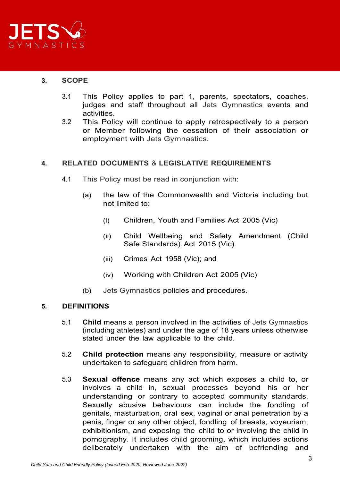

## **3. SCOPE**

- 3.1 This Policy applies to part 1, parents, spectators, coaches, judges and staff throughout all Jets Gymnastics events and activities.
- 3.2 This Policy will continue to apply retrospectively to a person or Member following the cessation of their association or employment with Jets Gymnastics.

## **4. RELATED DOCUMENTS** & **LEGISLATIVE REQUIREMENTS**

- 4.1 This Policy must be read in conjunction with:
	- (a) the law of the Commonwealth and Victoria including but not limited to:
		- (i) Children, Youth and Families Act 2005 (Vic)
		- (ii) Child Wellbeing and Safety Amendment (Child Safe Standards) Act 2015 (Vic)
		- (iii) Crimes Act 1958 (Vic); and
		- (iv) Working with Children Act 2005 (Vic)
	- (b) Jets Gymnastics policies and procedures.

## **5. DEFINITIONS**

- 5.1 **Child** means a person involved in the activities of Jets Gymnastics (including athletes) and under the age of 18 years unless otherwise stated under the law applicable to the child.
- 5.2 **Child protection** means any responsibility, measure or activity undertaken to safeguard children from harm.
- 5.3 **Sexual offence** means any act which exposes a child to, or involves a child in, sexual processes beyond his or her understanding or contrary to accepted community standards. Sexually abusive behaviours can include the fondling of genitals, masturbation, oral sex, vaginal or anal penetration by a penis, finger or any other object, fondling of breasts, voyeurism, exhibitionism, and exposing the child to or involving the child in pornography. It includes child grooming, which includes actions deliberately undertaken with the aim of befriending and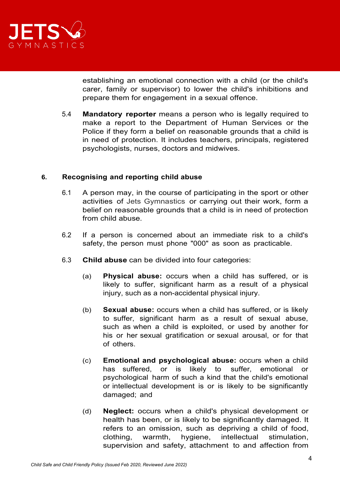

establishing an emotional connection with a child (or the child's carer, family or supervisor) to lower the child's inhibitions and prepare them for engagement in a sexual offence.

5.4 **Mandatory reporter** means a person who is legally required to make a report to the Department of Human Services or the Police if they form a belief on reasonable grounds that a child is in need of protection. It includes teachers, principals, registered psychologists, nurses, doctors and midwives.

## **6. Recognising and reporting child abuse**

- 6.1 A person may, in the course of participating in the sport or other activities of Jets Gymnastics or carrying out their work, form a belief on reasonable grounds that a child is in need of protection from child abuse.
- 6.2 If a person is concerned about an immediate risk to a child's safety, the person must phone "000" as soon as practicable.
- 6.3 **Child abuse** can be divided into four categories:
	- (a) **Physical abuse:** occurs when a child has suffered, or is likely to suffer, significant harm as a result of a physical injury, such as a non-accidental physical injury.
	- (b) **Sexual abuse:** occurs when a child has suffered, or is likely to suffer, significant harm as a result of sexual abuse, such as when a child is exploited, or used by another for his or her sexual gratification or sexual arousal, or for that of others.
	- (c) **Emotional and psychological abuse:** occurs when a child has suffered, or is likely to suffer, emotional or psychological harm of such a kind that the child's emotional or intellectual development is or is likely to be significantly damaged; and
	- (d) **Neglect:** occurs when a child's physical development or health has been, or is likely to be significantly damaged. It refers to an omission, such as depriving a child of food, clothing, warmth, hygiene, intellectual stimulation, supervision and safety, attachment to and affection from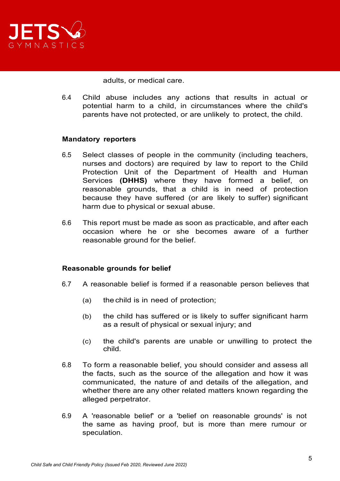

adults, or medical care.

6.4 Child abuse includes any actions that results in actual or potential harm to a child, in circumstances where the child's parents have not protected, or are unlikely to protect, the child.

#### **Mandatory reporters**

- 6.5 Select classes of people in the community (including teachers, nurses and doctors) are required by law to report to the Child Protection Unit of the Department of Health and Human Services **(DHHS)** where they have formed a belief, on reasonable grounds, that a child is in need of protection because they have suffered (or are likely to suffer) significant harm due to physical or sexual abuse.
- 6.6 This report must be made as soon as practicable, and after each occasion where he or she becomes aware of a further reasonable ground for the belief.

## **Reasonable grounds for belief**

- 6.7 A reasonable belief is formed if a reasonable person believes that
	- (a) the child is in need of protection;
	- (b) the child has suffered or is likely to suffer significant harm as a result of physical or sexual injury; and
	- (c) the child's parents are unable or unwilling to protect the child.
- 6.8 To form a reasonable belief, you should consider and assess all the facts, such as the source of the allegation and how it was communicated, the nature of and details of the allegation, and whether there are any other related matters known regarding the alleged perpetrator.
- 6.9 A 'reasonable belief' or a 'belief on reasonable grounds' is not the same as having proof, but is more than mere rumour or speculation.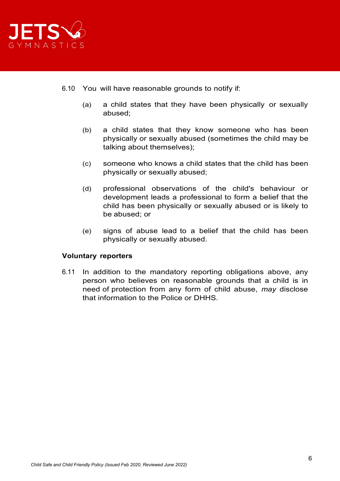

- 6.10 You will have reasonable grounds to notify if:
	- (a) a child states that they have been physically or sexually abused;
	- (b) a child states that they know someone who has been physically or sexually abused (sometimes the child may be talking about themselves);
	- (c) someone who knows a child states that the child has been physically or sexually abused;
	- (d) professional observations of the child's behaviour or development leads a professional to form a belief that the child has been physically or sexually abused or is likely to be abused; or
	- (e) signs of abuse lead to a belief that the child has been physically or sexually abused.

## **Voluntary reporters**

6.11 In addition to the mandatory reporting obligations above, any person who believes on reasonable grounds that a [child](http://www.austlii.edu.au/au/legis/vic/consol_act/cyafa2005252/s3.html#child) is in need of protection from any form of child abuse, *may* disclose that information to the Police or DHHS.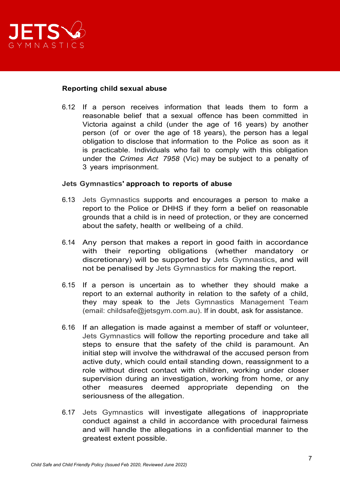

#### **Reporting child sexual abuse**

6.12 If a person receives information that leads them to form a reasonable belief that a sexual offence has been committed in Victoria against a child (under the age of 16 years) by another person (of or over the age of 18 years), the person has a legal obligation to disclose that information to the Police as soon as it is practicable. Individuals who fail to comply with this obligation under the *Crimes Act 7958* (Vic) may be subject to a penalty of 3 years imprisonment.

#### **Jets Gymnastics' approach to reports of abuse**

- 6.13 Jets Gymnastics supports and encourages a person to make a report to the Police or DHHS if they form a belief on reasonable grounds that a child is in need of protection, or they are concerned about the safety, health or wellbeing of a child.
- 6.14 Any person that makes a report in good faith in accordance with their reporting obligations (whether mandatory or discretionary) will be supported by Jets Gymnastics, and will not be penalised by Jets Gymnastics for making the report.
- 6.15 If a person is uncertain as to whether they should make a report to an external authority in relation to the safety of a child, they may speak to the Jets Gymnastics Management Team (email: childsafe@jetsgym.com.au). If in doubt, ask for assistance.
- 6.16 If an allegation is made against a member of staff or volunteer, Jets Gymnastics will follow the reporting procedure and take all steps to ensure that the safety of the child is paramount. An initial step will involve the withdrawal of the accused person from active duty, which could entail standing down, reassignment to a role without direct contact with children, working under closer supervision during an investigation, working from home, or any other measures deemed appropriate depending on the seriousness of the allegation.
- 6.17 Jets Gymnastics will investigate allegations of inappropriate conduct against a child in accordance with procedural fairness and will handle the allegations in a confidential manner to the greatest extent possible.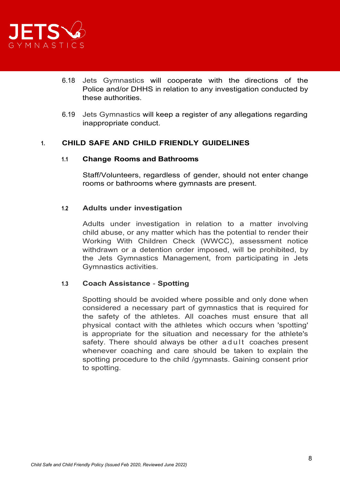

- 6.18 Jets Gymnastics will cooperate with the directions of the Police and/or DHHS in relation to any investigation conducted by these authorities.
- 6.19 Jets Gymnastics will keep a register of any allegations regarding inappropriate conduct.

## **1. CHILD SAFE AND CHILD FRIENDLY GUIDELINES**

#### **1.1 Change Rooms and Bathrooms**

Staff/Volunteers, regardless of gender, should not enter change rooms or bathrooms where gymnasts are present.

## **1.2 Adults under investigation**

Adults under investigation in relation to a matter involving child abuse, or any matter which has the potential to render their Working With Children Check (WWCC), assessment notice withdrawn or a detention order imposed, will be prohibited, by the Jets Gymnastics Management, from participating in Jets Gymnastics activities.

## **1.3 Coach Assistance** - **Spotting**

Spotting should be avoided where possible and only done when considered a necessary part of gymnastics that is required for the safety of the athletes. All coaches must ensure that all physical contact with the athletes which occurs when 'spotting' is appropriate for the situation and necessary for the athlete's safety. There should always be other adult coaches present whenever coaching and care should be taken to explain the spotting procedure to the child /gymnasts. Gaining consent prior to spotting.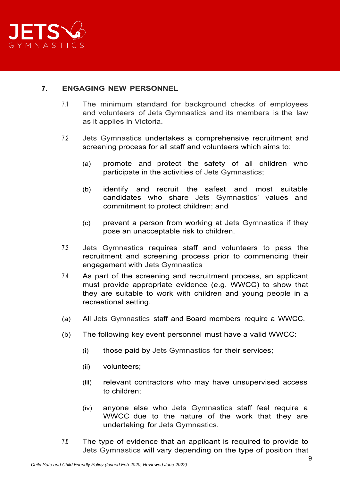

# **7. ENGAGING NEW PERSONNEL**

- 7.1 The minimum standard for background checks of employees and volunteers of Jets Gymnastics and its members is the law as it applies in Victoria.
- 7.2 Jets Gymnastics undertakes a comprehensive recruitment and screening process for all staff and volunteers which aims to:
	- (a) promote and protect the safety of all children who participate in the activities of Jets Gymnastics;
	- (b) identify and recruit the safest and most suitable candidates who share Jets Gymnastics' values and commitment to protect children; and
	- (c) prevent a person from working at Jets Gymnastics if they pose an unacceptable risk to children.
- 7.3 Jets Gymnastics requires staff and volunteers to pass the recruitment and screening process prior to commencing their engagement with Jets Gymnastics
- 7.4 As part of the screening and recruitment process, an applicant must provide appropriate evidence (e.g. WWCC) to show that they are suitable to work with children and young people in a recreational setting.
- (a) All Jets Gymnastics staff and Board members require a WWCC.
- (b) The following key event personnel must have a valid WWCC:
	- (i) those paid by Jets Gymnastics for their services;
	- (ii) volunteers;
	- (iii) relevant contractors who may have unsupervised access to children;
	- (iv) anyone else who Jets Gymnastics staff feel require a WWCC due to the nature of the work that they are undertaking for Jets Gymnastics.
- 7.5 The type of evidence that an applicant is required to provide to Jets Gymnastics will vary depending on the type of position that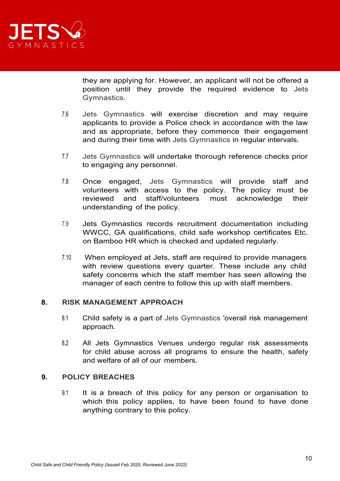

they are applying for. However, an applicant will not be offered a position until they provide the required evidence to Jets Gymnastics.

- 7.6 Jets Gymnastics will exercise discretion and may require applicants to provide a Police check in accordance with the law and as appropriate, before they commence their engagement and during their time with Jets Gymnastics in regular intervals.
- 7.7 Jets Gymnastics will undertake thorough reference checks prior to engaging any personnel.
- 7.8 Once engaged, Jets Gymnastics will provide staff and volunteers with access to the policy. The policy must be reviewed and staff/volunteers must acknowledge their understanding of the policy.
- 7.9 Jets Gymnastics records recruitment documentation including WWCC, GA qualifications, child safe workshop certificates Etc. on Bamboo HR which is checked and updated regularly.
- 7.10 When employed at Jets, staff are required to provide managers with review questions every quarter. These include any child safety concerns which the staff member has seen allowing the manager of each centre to follow this up with staff members.

## **8. RISK MANAGEMENT APPROACH**

- 8.1 Child safety is a part of Jets Gymnastics 'overall risk management approach.
- 8.2 All Jets Gymnastics Venues undergo regular risk assessments for child abuse across all programs to ensure the health, safety and welfare of all of our members.

## **9. POLICY BREACHES**

9.1 It is a breach of this policy for any person or organisation to which this policy applies, to have been found to have done anything contrary to this policy.